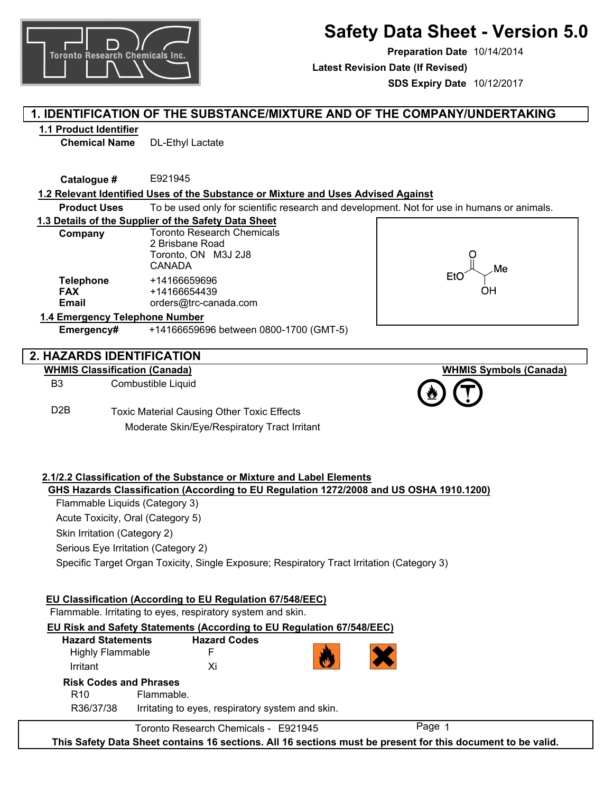

# **Safety Data Sheet - Version 5.0**

**Preparation Date** 10/14/2014 **SDS Expiry Date** 10/12/2017 **Latest Revision Date (If Revised)**

# **1. IDENTIFICATION OF THE SUBSTANCE/MIXTURE AND OF THE COMPANY/UNDERTAKING**

### **1.1 Product Identifier**

**Chemical Name** DL-Ethyl Lactate

**Catalogue #** E921945

### **1.2 Relevant Identified Uses of the Substance or Mixture and Uses Advised Against**

**Product Uses** To be used only for scientific research and development. Not for use in humans or animals.

### **1.3 Details of the Supplier of the Safety Data Sheet**

| Company          | <b>Toronto Research Chemicals</b> |  |  |
|------------------|-----------------------------------|--|--|
|                  | 2 Brisbane Road                   |  |  |
|                  | Toronto, ON M3J 2J8               |  |  |
|                  | CANADA                            |  |  |
| <b>Telephone</b> | +14166659696                      |  |  |
| <b>FAX</b>       | +14166654439                      |  |  |
| Email            | orders@trc-canada.com             |  |  |
|                  |                                   |  |  |

# OН

**WHMIS Symbols (Canada)**

### **1.4 Emergency Telephone Number**

**Emergency#** +14166659696 between 0800-1700 (GMT-5)

# **2. HAZARDS IDENTIFICATION**

### **WHMIS Classification (Canada)**

D2B

B3 Combustible Liquid

> Toxic Material Causing Other Toxic Effects Moderate Skin/Eye/Respiratory Tract Irritant

### **2.1/2.2 Classification of the Substance or Mixture and Label Elements GHS Hazards Classification (According to EU Regulation 1272/2008 and US OSHA 1910.1200)**

Flammable Liquids (Category 3)

Acute Toxicity, Oral (Category 5)

Skin Irritation (Category 2)

Serious Eye Irritation (Category 2)

Specific Target Organ Toxicity, Single Exposure; Respiratory Tract Irritation (Category 3)

### **EU Risk and Safety Statements (According to EU Regulation 67/548/EEC)** R36/37/38 R10 Flammable. Irritating to eyes, respiratory system and skin. **Hazard Statements** Highly Flammable Irritant **Hazard Codes** F Xi **Risk Codes and Phrases EU Classification (According to EU Regulation 67/548/EEC)** Flammable. Irritating to eyes, respiratory system and skin. Toronto Research Chemicals - E921945

**This Safety Data Sheet contains 16 sections. All 16 sections must be present for this document to be valid.**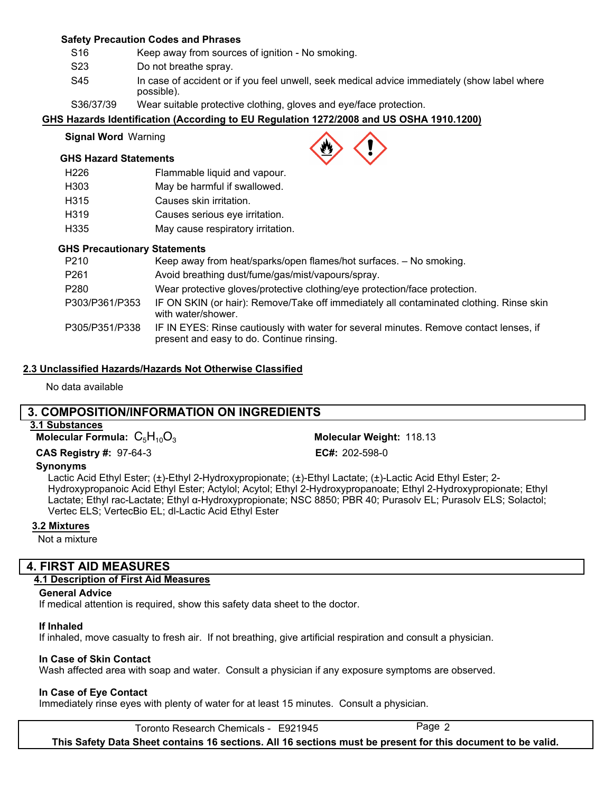### **Safety Precaution Codes and Phrases**

- S16 Keep away from sources of ignition - No smoking.
- S23 Do not breathe spray.
- S45 In case of accident or if you feel unwell, seek medical advice immediately (show label where possible).
- S36/37/39 Wear suitable protective clothing, gloves and eye/face protection.

### **GHS Hazards Identification (According to EU Regulation 1272/2008 and US OSHA 1910.1200)**

### **Signal Word** Warning

### **GHS Hazard Statements**

| H226 | Flammable liquid and vapour.      |
|------|-----------------------------------|
| H303 | May be harmful if swallowed.      |
| H315 | Causes skin irritation.           |
| H319 | Causes serious eye irritation.    |
| H335 | May cause respiratory irritation. |

### **GHS Precautionary Statements**

| P210           | Keep away from heat/sparks/open flames/hot surfaces. - No smoking.                                                                  |
|----------------|-------------------------------------------------------------------------------------------------------------------------------------|
| P261           | Avoid breathing dust/fume/gas/mist/vapours/spray.                                                                                   |
| P280           | Wear protective gloves/protective clothing/eye protection/face protection.                                                          |
| P303/P361/P353 | IF ON SKIN (or hair): Remove/Take off immediately all contaminated clothing. Rinse skin<br>with water/shower.                       |
| P305/P351/P338 | IF IN EYES: Rinse cautiously with water for several minutes. Remove contact lenses, if<br>present and easy to do. Continue rinsing. |

### **2.3 Unclassified Hazards/Hazards Not Otherwise Classified**

No data available

# **3. COMPOSITION/INFORMATION ON INGREDIENTS**

**3.1 Substances**

**Molecular Formula:**  $C_5H_{10}O_3$ 

**CAS Registry #: 97-64-3** 

Molecular Weight: 118.13 EC#: 202-598-0

### **Synonyms**

Lactic Acid Ethyl Ester; (±)-Ethyl 2-Hydroxypropionate; (±)-Ethyl Lactate; (±)-Lactic Acid Ethyl Ester; 2- Hydroxypropanoic Acid Ethyl Ester; Actylol; Acytol; Ethyl 2-Hydroxypropanoate; Ethyl 2-Hydroxypropionate; Ethyl Lactate; Ethyl rac-Lactate; Ethyl α-Hydroxypropionate; NSC 8850; PBR 40; Purasolv EL; Purasolv ELS; Solactol; Vertec ELS; VertecBio EL; dl-Lactic Acid Ethyl Ester

### **3.2 Mixtures**

Not a mixture

# **4. FIRST AID MEASURES**

# **4.1 Description of First Aid Measures**

# **General Advice**

If medical attention is required, show this safety data sheet to the doctor.

# **If Inhaled**

If inhaled, move casualty to fresh air. If not breathing, give artificial respiration and consult a physician.

# **In Case of Skin Contact**

Wash affected area with soap and water. Consult a physician if any exposure symptoms are observed.

# **In Case of Eye Contact**

Immediately rinse eyes with plenty of water for at least 15 minutes. Consult a physician.

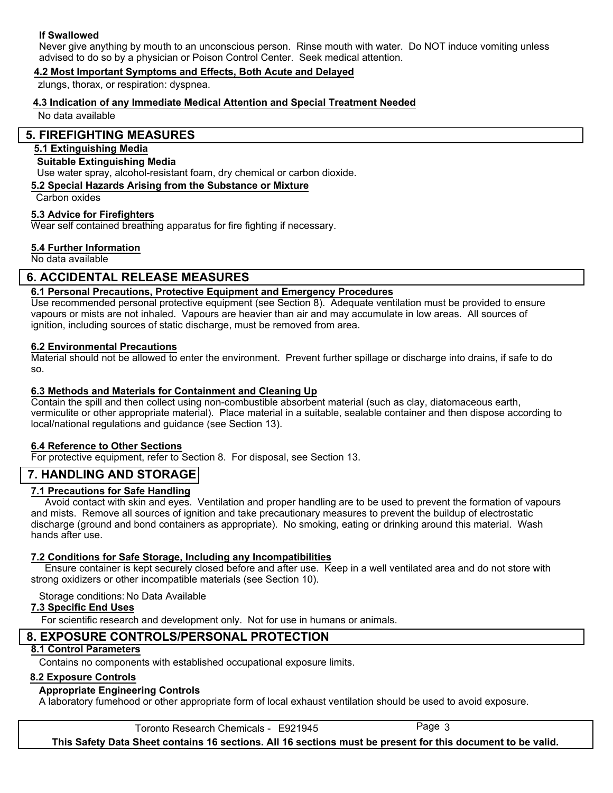### **If Swallowed**

Never give anything by mouth to an unconscious person. Rinse mouth with water. Do NOT induce vomiting unless advised to do so by a physician or Poison Control Center. Seek medical attention.

### **4.2 Most Important Symptoms and Effects, Both Acute and Delayed**

zlungs, thorax, or respiration: dyspnea.

### **4.3 Indication of any Immediate Medical Attention and Special Treatment Needed**

No data available

### **5. FIREFIGHTING MEASURES**

### **5.1 Extinguishing Media**

### **Suitable Extinguishing Media**

Use water spray, alcohol-resistant foam, dry chemical or carbon dioxide.

### **5.2 Special Hazards Arising from the Substance or Mixture**

Carbon oxides

### **5.3 Advice for Firefighters**

Wear self contained breathing apparatus for fire fighting if necessary.

### **5.4 Further Information**

No data available

# **6. ACCIDENTAL RELEASE MEASURES**

### **6.1 Personal Precautions, Protective Equipment and Emergency Procedures**

Use recommended personal protective equipment (see Section 8). Adequate ventilation must be provided to ensure vapours or mists are not inhaled. Vapours are heavier than air and may accumulate in low areas. All sources of ignition, including sources of static discharge, must be removed from area.

### **6.2 Environmental Precautions**

Material should not be allowed to enter the environment. Prevent further spillage or discharge into drains, if safe to do so.

### **6.3 Methods and Materials for Containment and Cleaning Up**

Contain the spill and then collect using non-combustible absorbent material (such as clay, diatomaceous earth, vermiculite or other appropriate material). Place material in a suitable, sealable container and then dispose according to local/national regulations and guidance (see Section 13).

### **6.4 Reference to Other Sections**

For protective equipment, refer to Section 8. For disposal, see Section 13.

# **7. HANDLING AND STORAGE**

### **7.1 Precautions for Safe Handling**

 Avoid contact with skin and eyes. Ventilation and proper handling are to be used to prevent the formation of vapours and mists. Remove all sources of ignition and take precautionary measures to prevent the buildup of electrostatic discharge (ground and bond containers as appropriate). No smoking, eating or drinking around this material. Wash hands after use.

### **7.2 Conditions for Safe Storage, Including any Incompatibilities**

 Ensure container is kept securely closed before and after use. Keep in a well ventilated area and do not store with strong oxidizers or other incompatible materials (see Section 10).

### Storage conditions: No Data Available

### **7.3 Specific End Uses**

For scientific research and development only. Not for use in humans or animals.

# **8. EXPOSURE CONTROLS/PERSONAL PROTECTION**

### **8.1 Control Parameters**

Contains no components with established occupational exposure limits.

### **8.2 Exposure Controls**

### **Appropriate Engineering Controls**

A laboratory fumehood or other appropriate form of local exhaust ventilation should be used to avoid exposure.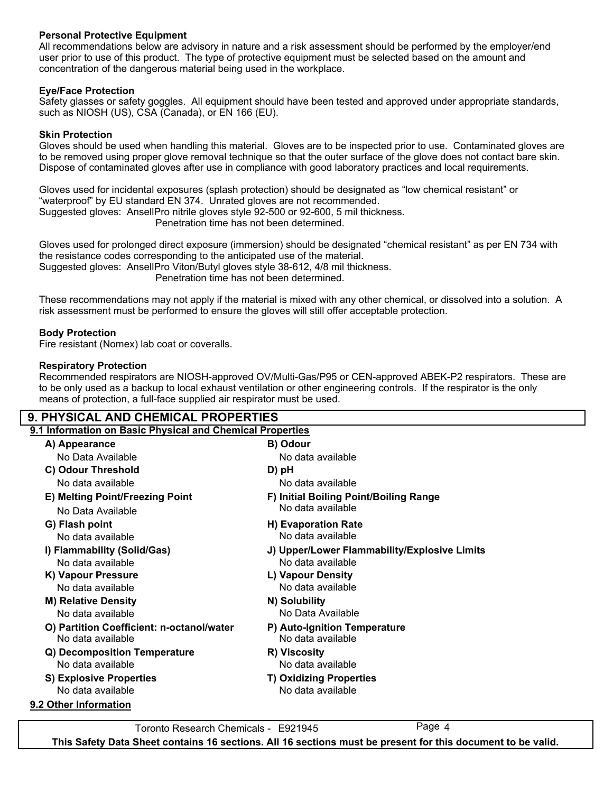### **Personal Protective Equipment**

All recommendations below are advisory in nature and a risk assessment should be performed by the employer/end user prior to use of this product. The type of protective equipment must be selected based on the amount and concentration of the dangerous material being used in the workplace.

### **Eye/Face Protection**

Safety glasses or safety goggles. All equipment should have been tested and approved under appropriate standards, such as NIOSH (US), CSA (Canada), or EN 166 (EU).

### **Skin Protection**

Gloves should be used when handling this material. Gloves are to be inspected prior to use. Contaminated gloves are to be removed using proper glove removal technique so that the outer surface of the glove does not contact bare skin. Dispose of contaminated gloves after use in compliance with good laboratory practices and local requirements.

Gloves used for incidental exposures (splash protection) should be designated as "low chemical resistant" or "waterproof" by EU standard EN 374. Unrated gloves are not recommended. Suggested gloves: AnsellPro nitrile gloves style 92-500 or 92-600, 5 mil thickness. Penetration time has not been determined.

Gloves used for prolonged direct exposure (immersion) should be designated "chemical resistant" as per EN 734 with the resistance codes corresponding to the anticipated use of the material. Suggested gloves: AnsellPro Viton/Butyl gloves style 38-612, 4/8 mil thickness. Penetration time has not been determined.

These recommendations may not apply if the material is mixed with any other chemical, or dissolved into a solution. A risk assessment must be performed to ensure the gloves will still offer acceptable protection.

### **Body Protection**

Fire resistant (Nomex) lab coat or coveralls.

### **Respiratory Protection**

Recommended respirators are NIOSH-approved OV/Multi-Gas/P95 or CEN-approved ABEK-P2 respirators. These are to be only used as a backup to local exhaust ventilation or other engineering controls. If the respirator is the only means of protection, a full-face supplied air respirator must be used.

| <b>9. PHYSICAL AND CHEMICAL PROPERTIES</b>                |                                              |  |  |  |
|-----------------------------------------------------------|----------------------------------------------|--|--|--|
| 9.1 Information on Basic Physical and Chemical Properties |                                              |  |  |  |
| A) Appearance                                             | B) Odour                                     |  |  |  |
| No Data Available                                         | No data available                            |  |  |  |
| C) Odour Threshold                                        | D) pH                                        |  |  |  |
| No data available                                         | No data available                            |  |  |  |
| E) Melting Point/Freezing Point                           | F) Initial Boiling Point/Boiling Range       |  |  |  |
| No Data Available                                         | No data available                            |  |  |  |
| G) Flash point                                            | H) Evaporation Rate                          |  |  |  |
| No data available                                         | No data available                            |  |  |  |
| I) Flammability (Solid/Gas)                               | J) Upper/Lower Flammability/Explosive Limits |  |  |  |
| No data available                                         | No data available                            |  |  |  |
| K) Vapour Pressure                                        | L) Vapour Density                            |  |  |  |
| No data available                                         | No data available                            |  |  |  |
| <b>M) Relative Density</b>                                | N) Solubility                                |  |  |  |
| No data available                                         | No Data Available                            |  |  |  |
| O) Partition Coefficient: n-octanol/water                 | P) Auto-Ignition Temperature                 |  |  |  |
| No data available                                         | No data available                            |  |  |  |
| Q) Decomposition Temperature                              | R) Viscosity                                 |  |  |  |
| No data available                                         | No data available                            |  |  |  |
| <b>S) Explosive Properties</b>                            | <b>T) Oxidizing Properties</b>               |  |  |  |
| No data available                                         | No data available                            |  |  |  |
| 9.2 Other Information                                     |                                              |  |  |  |
|                                                           |                                              |  |  |  |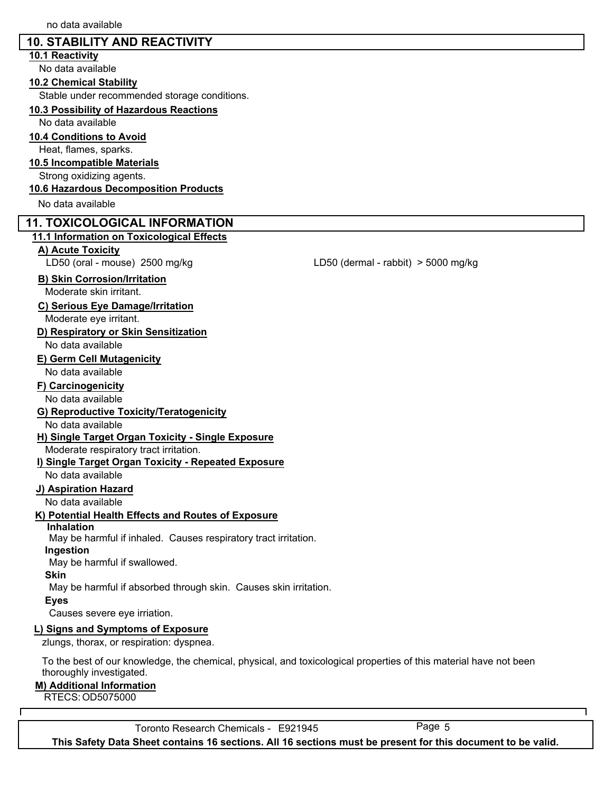# **10. STABILITY AND REACTIVITY**

### **10.1 Reactivity**

No data available

### **10.2 Chemical Stability**

Stable under recommended storage conditions.

### **10.3 Possibility of Hazardous Reactions**

No data available

### **10.4 Conditions to Avoid**

Heat, flames, sparks.

### **10.5 Incompatible Materials**

Strong oxidizing agents.

### **10.6 Hazardous Decomposition Products**

No data available

### **11. TOXICOLOGICAL INFORMATION**

### **11.1 Information on Toxicological Effects**

### **A) Acute Toxicity**

LD50 (oral - mouse) 2500 mg/kg LD50 (dermal - rabbit) > 5000 mg/kg

### **B) Skin Corrosion/Irritation**

Moderate skin irritant.

### **C) Serious Eye Damage/Irritation**

Moderate eye irritant.

### **D) Respiratory or Skin Sensitization**

No data available

### **E) Germ Cell Mutagenicity**

No data available

### **F) Carcinogenicity**

No data available

### **G) Reproductive Toxicity/Teratogenicity**

### No data available

### **H) Single Target Organ Toxicity - Single Exposure**

Moderate respiratory tract irritation.

### **I) Single Target Organ Toxicity - Repeated Exposure**

No data available

### **J) Aspiration Hazard**

No data available

### **K) Potential Health Effects and Routes of Exposure**

### **Inhalation**

May be harmful if inhaled. Causes respiratory tract irritation.

### **Ingestion**

May be harmful if swallowed.

### **Skin**

May be harmful if absorbed through skin. Causes skin irritation.

### **Eyes**

Causes severe eye irriation.

### **L) Signs and Symptoms of Exposure**

zlungs, thorax, or respiration: dyspnea.

To the best of our knowledge, the chemical, physical, and toxicological properties of this material have not been thoroughly investigated.

### **M) Additional Information**

RTECS:OD5075000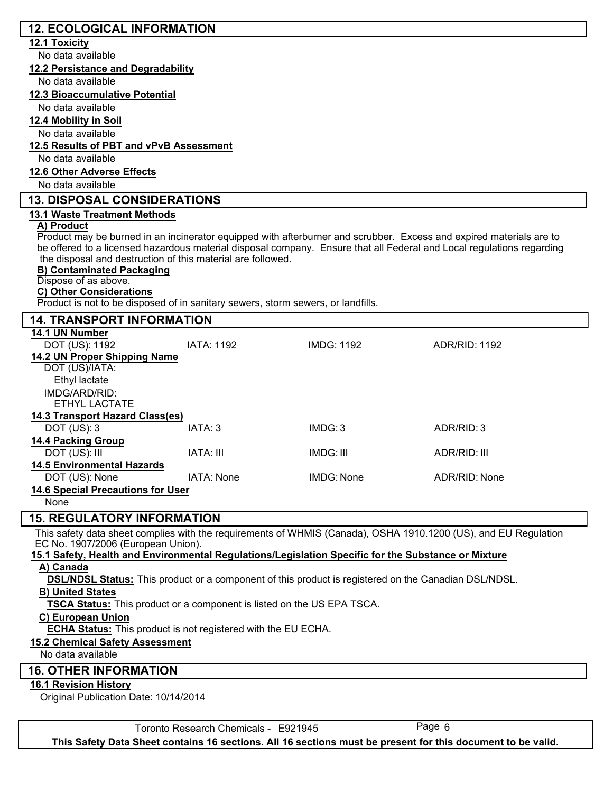# **12. ECOLOGICAL INFORMATION**

### **12.1 Toxicity**

No data available

**12.2 Persistance and Degradability**

No data available

### **12.3 Bioaccumulative Potential**

No data available

### **12.4 Mobility in Soil**

No data available

### **12.5 Results of PBT and vPvB Assessment**

No data available

### **12.6 Other Adverse Effects**

No data available

### **13. DISPOSAL CONSIDERATIONS**

### **13.1 Waste Treatment Methods**

### **A) Product**

Product may be burned in an incinerator equipped with afterburner and scrubber. Excess and expired materials are to be offered to a licensed hazardous material disposal company. Ensure that all Federal and Local regulations regarding the disposal and destruction of this material are followed.

### **B) Contaminated Packaging**

### Dispose of as above.

### **C) Other Considerations**

Product is not to be disposed of in sanitary sewers, storm sewers, or landfills.

| <b>14. TRANSPORT INFORMATION</b>         |                   |                   |               |  |  |  |
|------------------------------------------|-------------------|-------------------|---------------|--|--|--|
| 14.1 UN Number                           |                   |                   |               |  |  |  |
| DOT (US): 1192                           | <b>IATA: 1192</b> | <b>IMDG: 1192</b> | ADR/RID: 1192 |  |  |  |
| 14.2 UN Proper Shipping Name             |                   |                   |               |  |  |  |
| DOT (US)/IATA:                           |                   |                   |               |  |  |  |
| Ethyl lactate                            |                   |                   |               |  |  |  |
| IMDG/ARD/RID:                            |                   |                   |               |  |  |  |
| ETHYL LACTATE                            |                   |                   |               |  |  |  |
| 14.3 Transport Hazard Class(es)          |                   |                   |               |  |  |  |
| DOT $(US): 3$                            | IATA: 3           | IMDG:3            | ADR/RID: 3    |  |  |  |
| <b>14.4 Packing Group</b>                |                   |                   |               |  |  |  |
| DOT (US): III                            | IATA: III         | IMDG: III         | ADR/RID: III  |  |  |  |
| <b>14.5 Environmental Hazards</b>        |                   |                   |               |  |  |  |
| DOT (US): None                           | <b>IATA: None</b> | IMDG: None        | ADR/RID: None |  |  |  |
| <b>14.6 Special Precautions for User</b> |                   |                   |               |  |  |  |
| None                                     |                   |                   |               |  |  |  |

### **15. REGULATORY INFORMATION**

This safety data sheet complies with the requirements of WHMIS (Canada), OSHA 1910.1200 (US), and EU Regulation EC No. 1907/2006 (European Union).

### **15.1 Safety, Health and Environmental Regulations/Legislation Specific for the Substance or Mixture A) Canada**

**DSL/NDSL Status:** This product or a component of this product is registered on the Canadian DSL/NDSL.

### **B) United States**

**TSCA Status:** This product or a component is listed on the US EPA TSCA.

### **C) European Union**

**ECHA Status:** This product is not registered with the EU ECHA.

### **15.2 Chemical Safety Assessment**

No data available

### **16. OTHER INFORMATION**

### **16.1 Revision History**

Original Publication Date: 10/14/2014